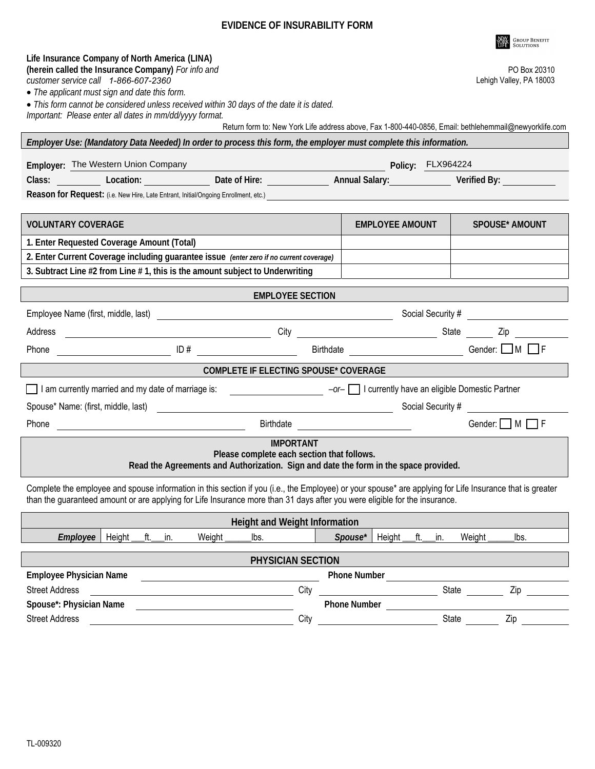## **EVIDENCE OF INSURABILITY FORM**

|                                                                                                                                                                                                                                                                                        |                                                                                                                                                       |                                                                                                                                                                                                                                      |      |                     |                        |                   |                   | <b>GROUP BENEFIT</b><br>SOLUTIONS         |
|----------------------------------------------------------------------------------------------------------------------------------------------------------------------------------------------------------------------------------------------------------------------------------------|-------------------------------------------------------------------------------------------------------------------------------------------------------|--------------------------------------------------------------------------------------------------------------------------------------------------------------------------------------------------------------------------------------|------|---------------------|------------------------|-------------------|-------------------|-------------------------------------------|
| customer service call 1-866-607-2360                                                                                                                                                                                                                                                   | Life Insurance Company of North America (LINA)<br>(herein called the Insurance Company) For info and<br>• The applicant must sign and date this form. |                                                                                                                                                                                                                                      |      |                     |                        |                   |                   | PO Box 20310<br>Lehigh Valley, PA 18003   |
|                                                                                                                                                                                                                                                                                        |                                                                                                                                                       | • This form cannot be considered unless received within 30 days of the date it is dated.                                                                                                                                             |      |                     |                        |                   |                   |                                           |
|                                                                                                                                                                                                                                                                                        | Important: Please enter all dates in mm/dd/yyyy format.                                                                                               | Return form to: New York Life address above, Fax 1-800-440-0856, Email: bethlehemmail@newyorklife.com                                                                                                                                |      |                     |                        |                   |                   |                                           |
|                                                                                                                                                                                                                                                                                        |                                                                                                                                                       | Employer Use: (Mandatory Data Needed) In order to process this form, the employer must complete this information.                                                                                                                    |      |                     |                        |                   |                   |                                           |
|                                                                                                                                                                                                                                                                                        | Employer: The Western Union Company                                                                                                                   |                                                                                                                                                                                                                                      |      |                     |                        | Policy: FLX964224 |                   |                                           |
|                                                                                                                                                                                                                                                                                        |                                                                                                                                                       | Class: Location: Date of Hire: Annual Salary: Verified By:                                                                                                                                                                           |      |                     |                        |                   |                   |                                           |
|                                                                                                                                                                                                                                                                                        |                                                                                                                                                       | Reason for Request: (i.e. New Hire, Late Entrant, Initial/Ongoing Enrollment, etc.) <b>Entrarrow Controller and Controller and Controller and Controller and Controller and Controller and Controller and Controller and Control</b> |      |                     |                        |                   |                   |                                           |
|                                                                                                                                                                                                                                                                                        |                                                                                                                                                       |                                                                                                                                                                                                                                      |      |                     |                        |                   |                   |                                           |
| <b>VOLUNTARY COVERAGE</b>                                                                                                                                                                                                                                                              |                                                                                                                                                       |                                                                                                                                                                                                                                      |      |                     | <b>EMPLOYEE AMOUNT</b> |                   |                   | <b>SPOUSE* AMOUNT</b>                     |
|                                                                                                                                                                                                                                                                                        | 1. Enter Requested Coverage Amount (Total)                                                                                                            |                                                                                                                                                                                                                                      |      |                     |                        |                   |                   |                                           |
|                                                                                                                                                                                                                                                                                        |                                                                                                                                                       | 2. Enter Current Coverage including guarantee issue (enter zero if no current coverage)<br>3. Subtract Line #2 from Line #1, this is the amount subject to Underwriting                                                              |      |                     |                        |                   |                   |                                           |
|                                                                                                                                                                                                                                                                                        |                                                                                                                                                       |                                                                                                                                                                                                                                      |      |                     |                        |                   |                   |                                           |
|                                                                                                                                                                                                                                                                                        |                                                                                                                                                       | <b>EMPLOYEE SECTION</b>                                                                                                                                                                                                              |      |                     |                        |                   |                   |                                           |
| Employee Name (first, middle, last)                                                                                                                                                                                                                                                    |                                                                                                                                                       | <u> 1990 - John Harry Harry Harry Harry Harry Harry Harry Harry Harry Harry Harry Harry Harry Harry Harry Harry H</u>                                                                                                                |      |                     |                        |                   |                   | Social Security # Social Security #       |
| Address                                                                                                                                                                                                                                                                                |                                                                                                                                                       |                                                                                                                                                                                                                                      |      |                     |                        |                   |                   |                                           |
| Phone                                                                                                                                                                                                                                                                                  |                                                                                                                                                       | ID#                                                                                                                                                                                                                                  |      |                     |                        |                   |                   | Birthdate <b>CONCIDENT</b> Gender: MILL F |
|                                                                                                                                                                                                                                                                                        |                                                                                                                                                       | COMPLETE IF ELECTING SPOUSE* COVERAGE                                                                                                                                                                                                |      |                     |                        |                   |                   |                                           |
|                                                                                                                                                                                                                                                                                        | I am currently married and my date of marriage is:                                                                                                    | $-\text{or}-\Box$ I currently have an eligible Domestic Partner                                                                                                                                                                      |      |                     |                        |                   |                   |                                           |
|                                                                                                                                                                                                                                                                                        |                                                                                                                                                       |                                                                                                                                                                                                                                      |      |                     |                        |                   | Social Security # |                                           |
| Phone                                                                                                                                                                                                                                                                                  | Gender: $\Box$ M $\Box$ F<br>Birthdate <u>___________________</u>                                                                                     |                                                                                                                                                                                                                                      |      |                     |                        |                   |                   |                                           |
| <b>IMPORTANT</b><br>Please complete each section that follows.<br>Read the Agreements and Authorization. Sign and date the form in the space provided.                                                                                                                                 |                                                                                                                                                       |                                                                                                                                                                                                                                      |      |                     |                        |                   |                   |                                           |
| Complete the employee and spouse information in this section if you (i.e., the Employee) or your spouse* are applying for Life Insurance that is greater<br>than the guaranteed amount or are applying for Life Insurance more than 31 days after you were eligible for the insurance. |                                                                                                                                                       |                                                                                                                                                                                                                                      |      |                     |                        |                   |                   |                                           |
| <b>Height and Weight Information</b>                                                                                                                                                                                                                                                   |                                                                                                                                                       |                                                                                                                                                                                                                                      |      |                     |                        |                   |                   |                                           |
| Employee                                                                                                                                                                                                                                                                               | Height<br>ft.<br>_in.                                                                                                                                 | Weight<br>lbs.                                                                                                                                                                                                                       |      | Spouse*             | Height<br>ft.          | in.               | Weight            | lbs.                                      |
| PHYSICIAN SECTION                                                                                                                                                                                                                                                                      |                                                                                                                                                       |                                                                                                                                                                                                                                      |      |                     |                        |                   |                   |                                           |
| <b>Employee Physician Name</b>                                                                                                                                                                                                                                                         |                                                                                                                                                       |                                                                                                                                                                                                                                      |      | <b>Phone Number</b> |                        |                   |                   |                                           |
| <b>Street Address</b>                                                                                                                                                                                                                                                                  |                                                                                                                                                       |                                                                                                                                                                                                                                      | City |                     |                        |                   | State             | Zip                                       |
| Spouse*: Physician Name                                                                                                                                                                                                                                                                |                                                                                                                                                       |                                                                                                                                                                                                                                      |      | <b>Phone Number</b> |                        |                   |                   |                                           |
| <b>Street Address</b>                                                                                                                                                                                                                                                                  |                                                                                                                                                       |                                                                                                                                                                                                                                      | City |                     |                        |                   | State             | Zip                                       |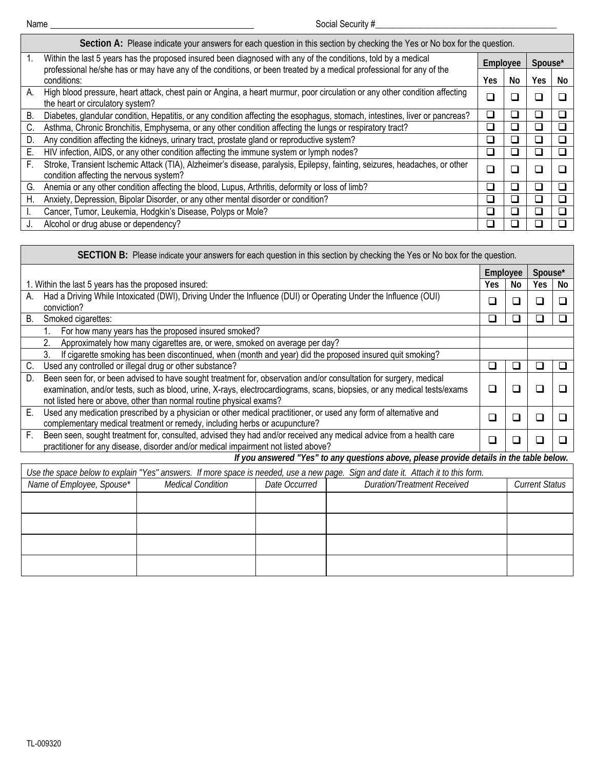Name Social Security #\_\_\_\_\_\_\_\_\_\_\_\_\_\_\_\_\_\_\_\_\_\_\_\_\_\_\_\_\_\_\_\_\_\_\_\_\_\_\_\_\_

|                                            | Section A: Please indicate your answers for each question in this section by checking the Yes or No box for the question.                                                                                                                           |                          |          |                             |         |  |  |  |
|--------------------------------------------|-----------------------------------------------------------------------------------------------------------------------------------------------------------------------------------------------------------------------------------------------------|--------------------------|----------|-----------------------------|---------|--|--|--|
| 1.                                         | Within the last 5 years has the proposed insured been diagnosed with any of the conditions, told by a medical<br>professional he/she has or may have any of the conditions, or been treated by a medical professional for any of the<br>conditions: |                          | Employee |                             | Spouse* |  |  |  |
|                                            |                                                                                                                                                                                                                                                     |                          | No.      | <b>Yes</b>                  | No      |  |  |  |
| А.                                         | High blood pressure, heart attack, chest pain or Angina, a heart murmur, poor circulation or any other condition affecting<br>the heart or circulatory system?                                                                                      | ❏                        |          | ×.                          |         |  |  |  |
| В.                                         | Diabetes, glandular condition, Hepatitis, or any condition affecting the esophagus, stomach, intestines, liver or pancreas?                                                                                                                         |                          |          |                             |         |  |  |  |
| C.                                         | Asthma, Chronic Bronchitis, Emphysema, or any other condition affecting the lungs or respiratory tract?                                                                                                                                             | $\overline{\phantom{a}}$ |          | ٦                           |         |  |  |  |
| D.                                         | Any condition affecting the kidneys, urinary tract, prostate gland or reproductive system?                                                                                                                                                          | ⊔                        |          | $\mathcal{L}_{\mathcal{A}}$ |         |  |  |  |
| Е.                                         | HIV infection, AIDS, or any other condition affecting the immune system or lymph nodes?                                                                                                                                                             | ❏                        |          | $\overline{\phantom{a}}$    |         |  |  |  |
| F.                                         | Stroke, Transient Ischemic Attack (TIA), Alzheimer's disease, paralysis, Epilepsy, fainting, seizures, headaches, or other<br>condition affecting the nervous system?                                                                               | ❏                        |          |                             |         |  |  |  |
| G.                                         | Anemia or any other condition affecting the blood, Lupus, Arthritis, deformity or loss of limb?                                                                                                                                                     |                          |          | ×.                          |         |  |  |  |
| Η.                                         | Anxiety, Depression, Bipolar Disorder, or any other mental disorder or condition?                                                                                                                                                                   | □                        |          | $\overline{\phantom{a}}$    |         |  |  |  |
|                                            | Cancer, Tumor, Leukemia, Hodgkin's Disease, Polyps or Mole?                                                                                                                                                                                         | H                        |          |                             |         |  |  |  |
| Alcohol or drug abuse or dependency?<br>J. |                                                                                                                                                                                                                                                     |                          |          |                             |         |  |  |  |

|    | SECTION B: Please indicate your answers for each question in this section by checking the Yes or No box for the question. |     |        |         |    |  |  |
|----|---------------------------------------------------------------------------------------------------------------------------|-----|--------|---------|----|--|--|
|    |                                                                                                                           |     |        | Spouse* |    |  |  |
|    | 1. Within the last 5 years has the proposed insured:                                                                      |     |        |         | No |  |  |
| А. | Had a Driving While Intoxicated (DWI), Driving Under the Influence (DUI) or Operating Under the Influence (OUI)           | ×.  |        |         |    |  |  |
|    | conviction?                                                                                                               |     |        |         |    |  |  |
| В. | Smoked cigarettes:                                                                                                        | ப   | ப      |         |    |  |  |
|    | For how many years has the proposed insured smoked?                                                                       |     |        |         |    |  |  |
|    | 2.<br>Approximately how many cigarettes are, or were, smoked on average per day?                                          |     |        |         |    |  |  |
|    | If cigarette smoking has been discontinued, when (month and year) did the proposed insured quit smoking?<br>3.            |     |        |         |    |  |  |
| C. | Used any controlled or illegal drug or other substance?                                                                   | a s | $\Box$ |         |    |  |  |
| D. | Been seen for, or been advised to have sought treatment for, observation and/or consultation for surgery, medical         |     |        |         |    |  |  |
|    | examination, and/or tests, such as blood, urine, X-rays, electrocardiograms, scans, biopsies, or any medical tests/exams  | a s | П      |         |    |  |  |
|    | not listed here or above, other than normal routine physical exams?                                                       |     |        |         |    |  |  |
| Е. | Used any medication prescribed by a physician or other medical practitioner, or used any form of alternative and          | □   | □      |         |    |  |  |
|    | complementary medical treatment or remedy, including herbs or acupuncture?                                                |     |        |         |    |  |  |
| F. | Been seen, sought treatment for, consulted, advised they had and/or received any medical advice from a health care        |     |        |         |    |  |  |
|    | practitioner for any disease, disorder and/or medical impairment not listed above?                                        |     |        |         |    |  |  |
|    | If you answered "Yes" to any questions above, please provide details in the table below.                                  |     |        |         |    |  |  |
|    |                                                                                                                           |     |        |         |    |  |  |

| Use the space below to explain "Yes" answers. If more space is needed, use a new page. Sign and date it. Attach it to this form. |  |               |                                    |                       |  |  |  |
|----------------------------------------------------------------------------------------------------------------------------------|--|---------------|------------------------------------|-----------------------|--|--|--|
| Name of Employee, Spouse*<br><b>Medical Condition</b>                                                                            |  | Date Occurred | <b>Duration/Treatment Received</b> | <b>Current Status</b> |  |  |  |
|                                                                                                                                  |  |               |                                    |                       |  |  |  |
|                                                                                                                                  |  |               |                                    |                       |  |  |  |
|                                                                                                                                  |  |               |                                    |                       |  |  |  |
|                                                                                                                                  |  |               |                                    |                       |  |  |  |
|                                                                                                                                  |  |               |                                    |                       |  |  |  |
|                                                                                                                                  |  |               |                                    |                       |  |  |  |
|                                                                                                                                  |  |               |                                    |                       |  |  |  |
|                                                                                                                                  |  |               |                                    |                       |  |  |  |